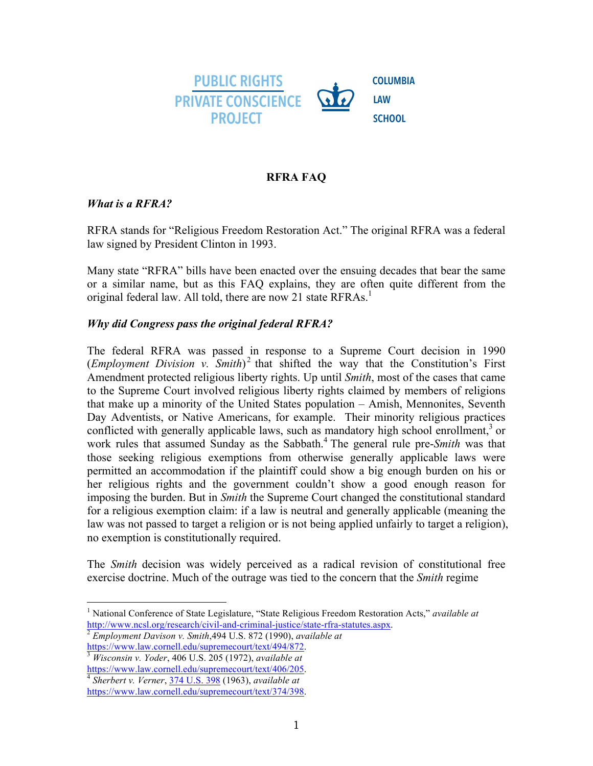

#### **RFRA FAQ**

#### *What is a RFRA?*

RFRA stands for "Religious Freedom Restoration Act." The original RFRA was a federal law signed by President Clinton in 1993.

Many state "RFRA" bills have been enacted over the ensuing decades that bear the same or a similar name, but as this FAQ explains, they are often quite different from the original federal law. All told, there are now 21 state RFRAs.<sup>1</sup>

#### *Why did Congress pass the original federal RFRA?*

The federal RFRA was passed in response to a Supreme Court decision in 1990 (*Employment Division v.* Smith)<sup>2</sup> that shifted the way that the Constitution's First Amendment protected religious liberty rights. Up until *Smith*, most of the cases that came to the Supreme Court involved religious liberty rights claimed by members of religions that make up a minority of the United States population – Amish, Mennonites, Seventh Day Adventists, or Native Americans, for example. Their minority religious practices conflicted with generally applicable laws, such as mandatory high school enrollment,<sup>3</sup> or work rules that assumed Sunday as the Sabbath.<sup>4</sup> The general rule pre-*Smith* was that those seeking religious exemptions from otherwise generally applicable laws were permitted an accommodation if the plaintiff could show a big enough burden on his or her religious rights and the government couldn't show a good enough reason for imposing the burden. But in *Smith* the Supreme Court changed the constitutional standard for a religious exemption claim: if a law is neutral and generally applicable (meaning the law was not passed to target a religion or is not being applied unfairly to target a religion), no exemption is constitutionally required.

The *Smith* decision was widely perceived as a radical revision of constitutional free exercise doctrine. Much of the outrage was tied to the concern that the *Smith* regime

<sup>&</sup>lt;sup>1</sup> National Conference of State Legislature, "State Religious Freedom Restoration Acts," *available at* http://www.ncsl.org/research/civil-and-criminal-justice/state-rfra-statutes.aspx. 2 *Employment Davison v. Smith*,494 U.S. 872 (1990), *available at* 

https://www.law.cornell.edu/supremecourt/text/494/872. 3 *Wisconsin v. Yoder*, 406 U.S. 205 (1972), *available at*

https://www.law.cornell.edu/supremecourt/text/406/205. 4 *Sherbert v. Verner*, 374 U.S. 398 (1963), *available at* 

https://www.law.cornell.edu/supremecourt/text/374/398.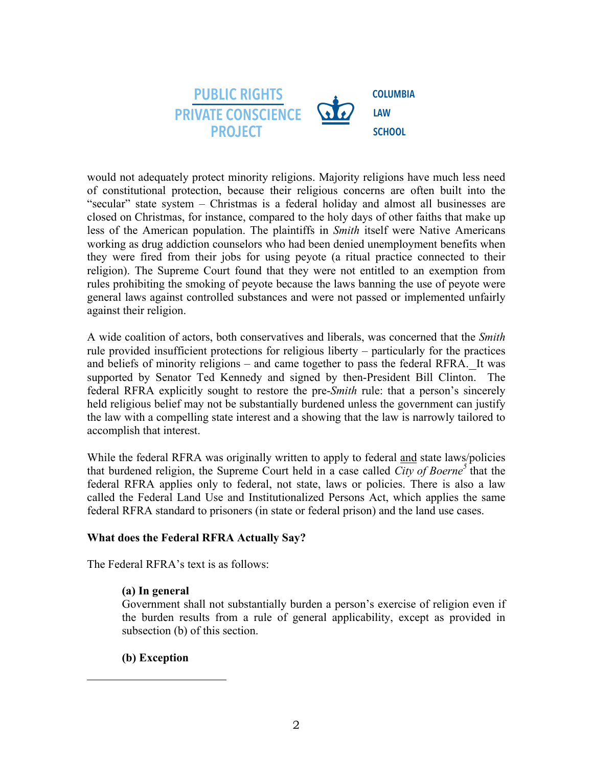

would not adequately protect minority religions. Majority religions have much less need of constitutional protection, because their religious concerns are often built into the "secular" state system – Christmas is a federal holiday and almost all businesses are closed on Christmas, for instance, compared to the holy days of other faiths that make up less of the American population. The plaintiffs in *Smith* itself were Native Americans working as drug addiction counselors who had been denied unemployment benefits when they were fired from their jobs for using peyote (a ritual practice connected to their religion). The Supreme Court found that they were not entitled to an exemption from rules prohibiting the smoking of peyote because the laws banning the use of peyote were general laws against controlled substances and were not passed or implemented unfairly against their religion.

A wide coalition of actors, both conservatives and liberals, was concerned that the *Smith* rule provided insufficient protections for religious liberty – particularly for the practices and beliefs of minority religions – and came together to pass the federal RFRA. It was supported by Senator Ted Kennedy and signed by then-President Bill Clinton. The federal RFRA explicitly sought to restore the pre-*Smith* rule: that a person's sincerely held religious belief may not be substantially burdened unless the government can justify the law with a compelling state interest and a showing that the law is narrowly tailored to accomplish that interest.

While the federal RFRA was originally written to apply to federal and state laws/policies that burdened religion, the Supreme Court held in a case called *City of Boerne<sup>5</sup>* that the federal RFRA applies only to federal, not state, laws or policies. There is also a law called the Federal Land Use and Institutionalized Persons Act, which applies the same federal RFRA standard to prisoners (in state or federal prison) and the land use cases.

# **What does the Federal RFRA Actually Say?**

The Federal RFRA's text is as follows:

# **(a) In general**

Government shall not substantially burden a person's exercise of religion even if the burden results from a rule of general applicability, except as provided in subsection (b) of this section.

# **(b) Exception**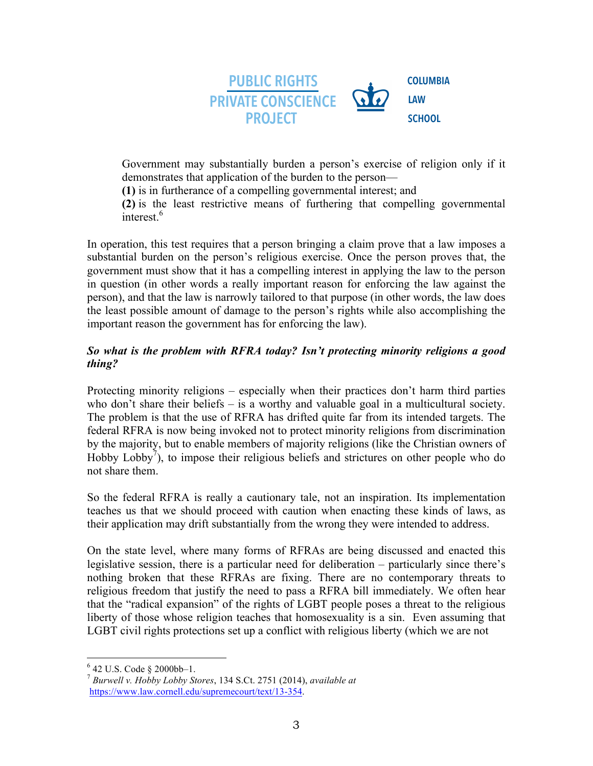

Government may substantially burden a person's exercise of religion only if it demonstrates that application of the burden to the person—

**(1)** is in furtherance of a compelling governmental interest; and

**(2)** is the least restrictive means of furthering that compelling governmental interest.<sup>6</sup>

In operation, this test requires that a person bringing a claim prove that a law imposes a substantial burden on the person's religious exercise. Once the person proves that, the government must show that it has a compelling interest in applying the law to the person in question (in other words a really important reason for enforcing the law against the person), and that the law is narrowly tailored to that purpose (in other words, the law does the least possible amount of damage to the person's rights while also accomplishing the important reason the government has for enforcing the law).

# *So what is the problem with RFRA today? Isn't protecting minority religions a good thing?*

Protecting minority religions – especially when their practices don't harm third parties who don't share their beliefs – is a worthy and valuable goal in a multicultural society. The problem is that the use of RFRA has drifted quite far from its intended targets. The federal RFRA is now being invoked not to protect minority religions from discrimination by the majority, but to enable members of majority religions (like the Christian owners of Hobby Lobby<sup>7</sup>), to impose their religious beliefs and strictures on other people who do not share them.

So the federal RFRA is really a cautionary tale, not an inspiration. Its implementation teaches us that we should proceed with caution when enacting these kinds of laws, as their application may drift substantially from the wrong they were intended to address.

On the state level, where many forms of RFRAs are being discussed and enacted this legislative session, there is a particular need for deliberation – particularly since there's nothing broken that these RFRAs are fixing. There are no contemporary threats to religious freedom that justify the need to pass a RFRA bill immediately. We often hear that the "radical expansion" of the rights of LGBT people poses a threat to the religious liberty of those whose religion teaches that homosexuality is a sin. Even assuming that LGBT civil rights protections set up a conflict with religious liberty (which we are not

<sup>6</sup> 42 U.S. Code § 2000bb–1. <sup>7</sup> *Burwell v. Hobby Lobby Stores*, 134 S.Ct. 2751 (2014), *available at* https://www.law.cornell.edu/supremecourt/text/13-354.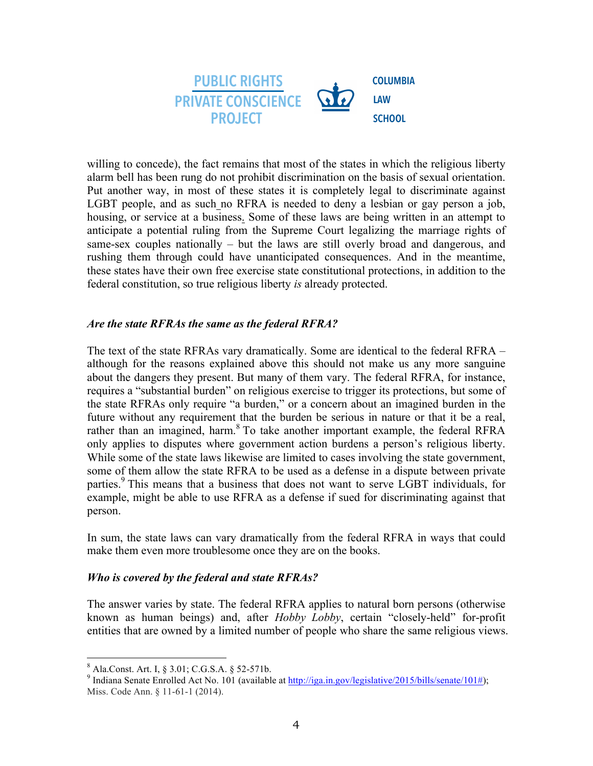

willing to concede), the fact remains that most of the states in which the religious liberty alarm bell has been rung do not prohibit discrimination on the basis of sexual orientation. Put another way, in most of these states it is completely legal to discriminate against LGBT people, and as such no RFRA is needed to deny a lesbian or gay person a job, housing, or service at a business. Some of these laws are being written in an attempt to anticipate a potential ruling from the Supreme Court legalizing the marriage rights of same-sex couples nationally – but the laws are still overly broad and dangerous, and rushing them through could have unanticipated consequences. And in the meantime, these states have their own free exercise state constitutional protections, in addition to the federal constitution, so true religious liberty *is* already protected.

#### *Are the state RFRAs the same as the federal RFRA?*

The text of the state RFRAs vary dramatically. Some are identical to the federal RFRA – although for the reasons explained above this should not make us any more sanguine about the dangers they present. But many of them vary. The federal RFRA, for instance, requires a "substantial burden" on religious exercise to trigger its protections, but some of the state RFRAs only require "a burden," or a concern about an imagined burden in the future without any requirement that the burden be serious in nature or that it be a real, rather than an imagined, harm.<sup>8</sup> To take another important example, the federal RFRA only applies to disputes where government action burdens a person's religious liberty. While some of the state laws likewise are limited to cases involving the state government, some of them allow the state RFRA to be used as a defense in a dispute between private parties.<sup>9</sup> This means that a business that does not want to serve LGBT individuals, for example, might be able to use RFRA as a defense if sued for discriminating against that person.

In sum, the state laws can vary dramatically from the federal RFRA in ways that could make them even more troublesome once they are on the books.

#### *Who is covered by the federal and state RFRAs?*

The answer varies by state. The federal RFRA applies to natural born persons (otherwise known as human beings) and, after *Hobby Lobby*, certain "closely-held" for-profit entities that are owned by a limited number of people who share the same religious views.

<sup>&</sup>lt;sup>8</sup> Ala.Const. Art. I, § 3.01; C.G.S.A. § 52-571b.<br><sup>9</sup> Indiana Senate Enrolled Act No. 101 (available at http://iga.in.gov/legislative/2015/bills/senate/101#); Miss. Code Ann. § 11-61-1 (2014).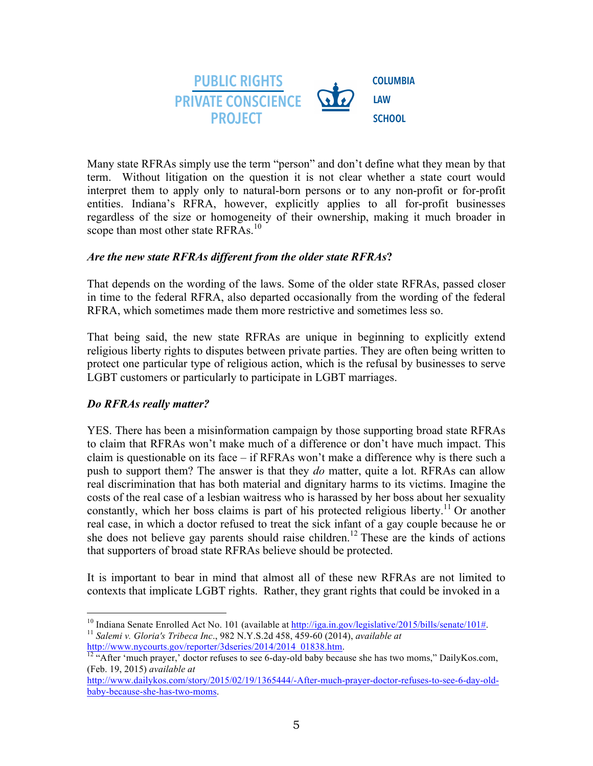

Many state RFRAs simply use the term "person" and don't define what they mean by that term. Without litigation on the question it is not clear whether a state court would interpret them to apply only to natural-born persons or to any non-profit or for-profit entities. Indiana's RFRA, however, explicitly applies to all for-profit businesses regardless of the size or homogeneity of their ownership, making it much broader in scope than most other state RFRAs.<sup>10</sup>

# *Are the new state RFRAs different from the older state RFRAs***?**

That depends on the wording of the laws. Some of the older state RFRAs, passed closer in time to the federal RFRA, also departed occasionally from the wording of the federal RFRA, which sometimes made them more restrictive and sometimes less so.

That being said, the new state RFRAs are unique in beginning to explicitly extend religious liberty rights to disputes between private parties. They are often being written to protect one particular type of religious action, which is the refusal by businesses to serve LGBT customers or particularly to participate in LGBT marriages.

# *Do RFRAs really matter?*

 $\overline{a}$ 

YES. There has been a misinformation campaign by those supporting broad state RFRAs to claim that RFRAs won't make much of a difference or don't have much impact. This claim is questionable on its face – if RFRAs won't make a difference why is there such a push to support them? The answer is that they *do* matter, quite a lot. RFRAs can allow real discrimination that has both material and dignitary harms to its victims. Imagine the costs of the real case of a lesbian waitress who is harassed by her boss about her sexuality constantly, which her boss claims is part of his protected religious liberty.<sup>11</sup> Or another real case, in which a doctor refused to treat the sick infant of a gay couple because he or she does not believe gay parents should raise children. <sup>12</sup> These are the kinds of actions that supporters of broad state RFRAs believe should be protected.

It is important to bear in mind that almost all of these new RFRAs are not limited to contexts that implicate LGBT rights. Rather, they grant rights that could be invoked in a

<sup>&</sup>lt;sup>10</sup> Indiana Senate Enrolled Act No. 101 (available at http://iga.in.gov/legislative/2015/bills/senate/101#.<br><sup>11</sup> *Salemi v. Gloria's Tribeca Inc.*, 982 N.Y.S.2d 458, 459-60 (2014), *available at* 

http://www.nycourts.gov/reporter/3dseries/2014/2014\_01838.htm. 12 "After 'much prayer,' doctor refuses to see 6-day-old baby because she has two moms," DailyKos.com, (Feb. 19, 2015) *available at* 

http://www.dailykos.com/story/2015/02/19/1365444/-After-much-prayer-doctor-refuses-to-see-6-day-oldbaby-because-she-has-two-moms.